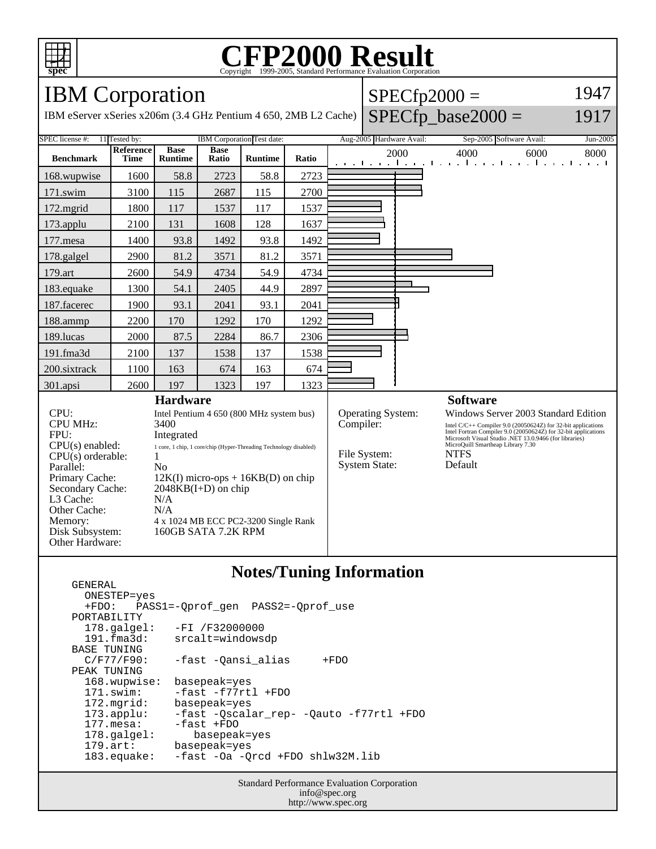

# C<sub>opyright</sub> ©1999-2005, Standard Performance Evaluation Corporation

### IBM Corporation

GENERAL

IBM eServer xSeries x206m (3.4 GHz Pentium 4 650, 2MB L2 Cache)  $\big|$  SPECfp\_base2000 =

| $SPECfp2000 =$                     |  |  |
|------------------------------------|--|--|
| $\sim$ $\sim$ $\sim$ $\sim$ $\sim$ |  |  |

# 1947

1917

| SPEC license #:                                                                                                                                                                                                                                                                                                                                                                                                                                                                                                            | 11 Tested by:            | IBM Corporation Test date:    |                      | Aug-2005 Hardware Avail:                                                                                                              |                 | Sep-2005 Software Avail:<br>Jun-2005                                                                                                                                                                                               |      |                                                                        |
|----------------------------------------------------------------------------------------------------------------------------------------------------------------------------------------------------------------------------------------------------------------------------------------------------------------------------------------------------------------------------------------------------------------------------------------------------------------------------------------------------------------------------|--------------------------|-------------------------------|----------------------|---------------------------------------------------------------------------------------------------------------------------------------|-----------------|------------------------------------------------------------------------------------------------------------------------------------------------------------------------------------------------------------------------------------|------|------------------------------------------------------------------------|
| <b>Benchmark</b>                                                                                                                                                                                                                                                                                                                                                                                                                                                                                                           | Reference<br><b>Time</b> | <b>Base</b><br><b>Runtime</b> | <b>Base</b><br>Ratio | <b>Runtime</b>                                                                                                                        | Ratio           |                                                                                                                                                                                                                                    | 2000 | 4000<br>6000<br>8000<br>التعبيل ويتلبط وتباري وبالتعب المحارب والمحارب |
| 168.wupwise                                                                                                                                                                                                                                                                                                                                                                                                                                                                                                                | 1600                     | 58.8                          | 2723                 | 58.8                                                                                                                                  | 2723            |                                                                                                                                                                                                                                    |      |                                                                        |
| 171.swim                                                                                                                                                                                                                                                                                                                                                                                                                                                                                                                   | 3100                     | 115                           | 2687                 | 115                                                                                                                                   | 2700            |                                                                                                                                                                                                                                    |      |                                                                        |
| 172.mgrid                                                                                                                                                                                                                                                                                                                                                                                                                                                                                                                  | 1800                     | 117                           | 1537                 | 117                                                                                                                                   | 1537            |                                                                                                                                                                                                                                    |      |                                                                        |
| 173.applu                                                                                                                                                                                                                                                                                                                                                                                                                                                                                                                  | 2100                     | 131                           | 1608                 | 128                                                                                                                                   | 1637            |                                                                                                                                                                                                                                    |      |                                                                        |
| 177.mesa                                                                                                                                                                                                                                                                                                                                                                                                                                                                                                                   | 1400                     | 93.8                          | 1492                 | 93.8                                                                                                                                  | 1492            |                                                                                                                                                                                                                                    |      |                                                                        |
| 178.galgel                                                                                                                                                                                                                                                                                                                                                                                                                                                                                                                 | 2900                     | 81.2                          | 3571                 | 81.2                                                                                                                                  | 3571            |                                                                                                                                                                                                                                    |      |                                                                        |
| 179.art                                                                                                                                                                                                                                                                                                                                                                                                                                                                                                                    | 2600                     | 54.9                          | 4734                 | 54.9                                                                                                                                  | 4734            |                                                                                                                                                                                                                                    |      |                                                                        |
| 183.equake                                                                                                                                                                                                                                                                                                                                                                                                                                                                                                                 | 1300                     | 54.1                          | 2405                 | 44.9                                                                                                                                  | 2897            |                                                                                                                                                                                                                                    |      |                                                                        |
| 187.facerec                                                                                                                                                                                                                                                                                                                                                                                                                                                                                                                | 1900                     | 93.1                          | 2041                 | 93.1                                                                                                                                  | 2041            |                                                                                                                                                                                                                                    |      |                                                                        |
| 188.ammp                                                                                                                                                                                                                                                                                                                                                                                                                                                                                                                   | 2200                     | 170                           | 1292                 | 170                                                                                                                                   | 1292            |                                                                                                                                                                                                                                    |      |                                                                        |
| 189.lucas                                                                                                                                                                                                                                                                                                                                                                                                                                                                                                                  | 2000                     | 87.5                          | 2284                 | 86.7                                                                                                                                  | 2306            |                                                                                                                                                                                                                                    |      |                                                                        |
| $191$ .fma $3d$                                                                                                                                                                                                                                                                                                                                                                                                                                                                                                            | 2100                     | 137                           | 1538                 | 137                                                                                                                                   | 1538            |                                                                                                                                                                                                                                    |      |                                                                        |
| 200.sixtrack                                                                                                                                                                                                                                                                                                                                                                                                                                                                                                               | 1100                     | 163                           | 674                  | 163                                                                                                                                   | 674             |                                                                                                                                                                                                                                    |      |                                                                        |
| 301.apsi                                                                                                                                                                                                                                                                                                                                                                                                                                                                                                                   | 2600                     | 197                           | 1323                 | 197                                                                                                                                   | 1323            |                                                                                                                                                                                                                                    |      |                                                                        |
| <b>Hardware</b>                                                                                                                                                                                                                                                                                                                                                                                                                                                                                                            |                          |                               |                      |                                                                                                                                       | <b>Software</b> |                                                                                                                                                                                                                                    |      |                                                                        |
| CPU:<br>Intel Pentium 4 650 (800 MHz system bus)<br><b>CPU MHz:</b><br>3400<br>FPU:<br>Integrated<br>$CPU(s)$ enabled:<br>1 core, 1 chip, 1 core/chip (Hyper-Threading Technology disabled)<br>$CPU(s)$ orderable:<br>1<br>N <sub>0</sub><br>Parallel:<br>Primary Cache:<br>$12K(I)$ micro-ops + $16KB(D)$ on chip<br>Secondary Cache:<br>$2048KB(I+D)$ on chip<br>L3 Cache:<br>N/A<br>Other Cache:<br>N/A<br>Memory:<br>4 x 1024 MB ECC PC2-3200 Single Rank<br>160GB SATA 7.2K RPM<br>Disk Subsystem:<br>Other Hardware: |                          |                               |                      | Operating System:<br>Compiler:<br>MicroQuill Smartheap Library 7.30<br><b>NTFS</b><br>File System:<br><b>System State:</b><br>Default |                 | Windows Server 2003 Standard Edition<br>Intel C/C++ Compiler 9.0 (20050624Z) for 32-bit applications<br>Intel Fortran Compiler 9.0 (20050624Z) for 32-bit applications<br>Microsoft Visual Studio .NET $13.0.9466$ (for libraries) |      |                                                                        |

### **Notes/Tuning Information**

 ONESTEP=yes +FDO: PASS1=-Qprof\_gen PASS2=-Qprof\_use PORTABILITY<br>178.galgel: 178.galgel: -FI /F32000000 191.fma3d: srcalt=windowsdp BASE TUNING<br>C/F77/F90: -fast -Qansi\_alias +FDO PEAK TUNING 168.wupwise: basepeak=yes 171.swim: -fast -f77rtl +FDO 172.mgrid: basepeak=yes<br>173.applu: -fast -Qscala 173.applu: -fast -Qscalar\_rep- -Qauto -f77rtl +FDO 177.mesa: -fast +FDO<br>178.galgel: basepea basepeak=yes 179.art: basepeak=yes 183.equake: -fast -Oa -Qrcd +FDO shlw32M.lib

> Standard Performance Evaluation Corporation info@spec.org http://www.spec.org